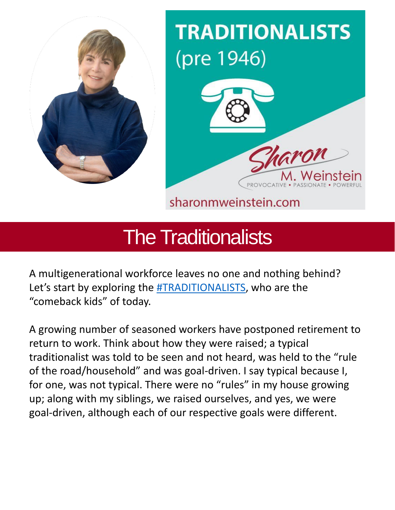

# **TRADITIONALISTS** (pre 1946)



sharonmweinstein.com

## The Traditionalists

A multigenerational workforce leaves no one and nothing behind? Let's start by exploring the [#TRADITIONALISTS,](https://www.linkedin.com/feed/hashtag/?keywords=traditionalists&highlightedUpdateUrns=urn%3Ali%3Aactivity%3A6924675965440733184) who are the "comeback kids" of today.

A growing number of seasoned workers have postponed retirement to return to work. Think about how they were raised; a typical traditionalist was told to be seen and not heard, was held to the "rule of the road/household" and was goal-driven. I say typical because I, for one, was not typical. There were no "rules" in my house growing up; along with my siblings, we raised ourselves, and yes, we were goal-driven, although each of our respective goals were different.